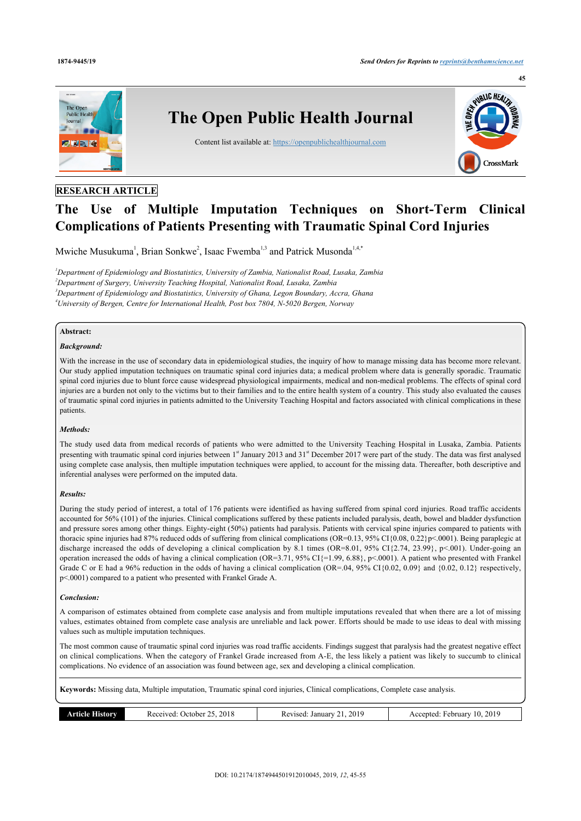

## **RESEARCH ARTICLE**

# **The Use of Multiple Imputation Techniques on Short-Term Clinical Complications of Patients Presenting with Traumatic Spinal Cord Injuries**

Mwiche Musukuma<sup>[1](#page-0-0)</sup>, Brian Sonkwe<sup>[2](#page-0-1)</sup>, Isaac Fwemba<sup>[1,](#page-0-0)[3](#page-0-2)</sup> and Patrick Musonda<sup>1[,4](#page-0-3)[,\\*](#page-1-0)</sup>

<span id="page-0-3"></span><span id="page-0-2"></span><span id="page-0-1"></span><span id="page-0-0"></span>*Department of Epidemiology and Biostatistics, University of Zambia, Nationalist Road, Lusaka, Zambia Department of Surgery, University Teaching Hospital, Nationalist Road, Lusaka, Zambia Department of Epidemiology and Biostatistics, University of Ghana, Legon Boundary, Accra, Ghana University of Bergen, Centre for International Health, Post box 7804, N-5020 Bergen, Norway*

## **Abstract:**

## *Background:*

With the increase in the use of secondary data in epidemiological studies, the inquiry of how to manage missing data has become more relevant. Our study applied imputation techniques on traumatic spinal cord injuries data; a medical problem where data is generally sporadic. Traumatic spinal cord injuries due to blunt force cause widespread physiological impairments, medical and non-medical problems. The effects of spinal cord injuries are a burden not only to the victims but to their families and to the entire health system of a country. This study also evaluated the causes of traumatic spinal cord injuries in patients admitted to the University Teaching Hospital and factors associated with clinical complications in these patients.

#### *Methods:*

The study used data from medical records of patients who were admitted to the University Teaching Hospital in Lusaka, Zambia. Patients presenting with traumatic spinal cord injuries between 1<sup>st</sup> January 2013 and 31<sup>st</sup> December 2017 were part of the study. The data was first analysed using complete case analysis, then multiple imputation techniques were applied, to account for the missing data. Thereafter, both descriptive and inferential analyses were performed on the imputed data.

## *Results:*

During the study period of interest, a total of 176 patients were identified as having suffered from spinal cord injuries. Road traffic accidents accounted for 56% (101) of the injuries. Clinical complications suffered by these patients included paralysis, death, bowel and bladder dysfunction and pressure sores among other things. Eighty-eight (50%) patients had paralysis. Patients with cervical spine injuries compared to patients with thoracic spine injuries had 87% reduced odds of suffering from clinical complications (OR=0.13, 95% CI{0.08, 0.22}p<.0001). Being paraplegic at discharge increased the odds of developing a clinical complication by 8.1 times (OR=8.01, 95% CI{2.74, 23.99}, p<.001). Under-going an operation increased the odds of having a clinical complication (OR=3.71, 95% CI{=1.99, 6.88}, p<.0001). A patient who presented with Frankel Grade C or E had a 96% reduction in the odds of having a clinical complication (OR=.04, 95% CI{0.02, 0.09} and {0.02, 0.12} respectively, p<.0001) compared to a patient who presented with Frankel Grade A.

## *Conclusion:*

A comparison of estimates obtained from complete case analysis and from multiple imputations revealed that when there are a lot of missing values, estimates obtained from complete case analysis are unreliable and lack power. Efforts should be made to use ideas to deal with missing values such as multiple imputation techniques.

The most common cause of traumatic spinal cord injuries was road traffic accidents. Findings suggest that paralysis had the greatest negative effect on clinical complications. When the category of Frankel Grade increased from A-E, the less likely a patient was likely to succumb to clinical complications. No evidence of an association was found between age, sex and developing a clinical complication.

**Keywords:** Missing data, Multiple imputation, Traumatic spinal cord injuries, Clinical complications, Complete case analysis.

| 2018<br>201170d<br>. )ctober<br>.story<br>rncie<br>A CL<br>.<br>$\cdots$<br>. | 201 <sup>c</sup><br>Januar<br>'evised.<br>$\cdots$<br>nc<br>__ | 2019<br>$\sim$<br>⊦ebruarv<br>Accepted<br>10.<br>ACC. |
|-------------------------------------------------------------------------------|----------------------------------------------------------------|-------------------------------------------------------|
|-------------------------------------------------------------------------------|----------------------------------------------------------------|-------------------------------------------------------|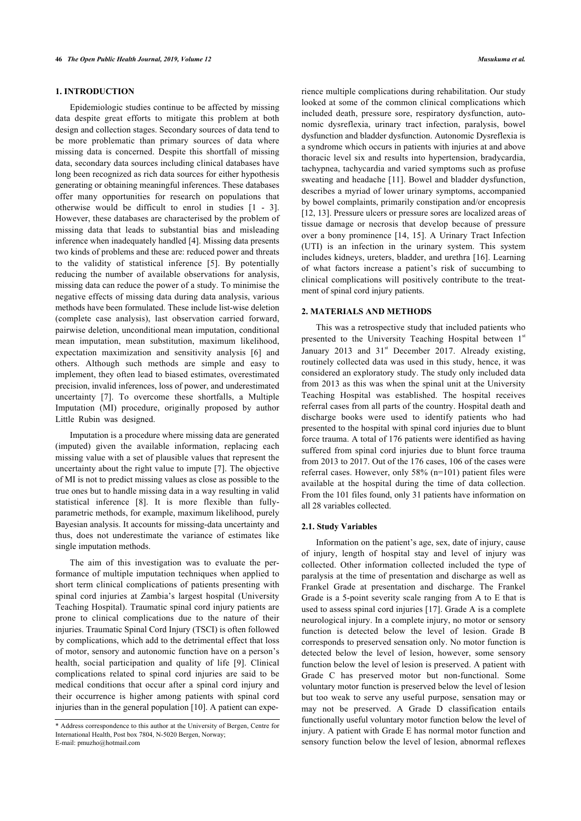## **1. INTRODUCTION**

Epidemiologic studies continue to be affected by missing data despite great efforts to mitigate this problem at both design and collection stages. Secondary sources of data tend to be more problematic than primary sources of data where missing data is concerned. Despite this shortfall of missing data, secondary data sources including clinical databases have long been recognized as rich data sources for either hypothesis generating or obtaining meaningful inferences. These databases offer many opportunities for research on populations that otherwise would be difficult to enrol in studies [\[1](#page-9-0) - [3\]](#page-9-1). However, these databases are characterised by the problem of missing data that leads to substantial bias and misleading inference when inadequately handled [\[4\]](#page-9-2). Missing data presents two kinds of problems and these are: reduced power and threats to the validity of statistical inference [\[5](#page-9-3)]. By potentially reducing the number of available observations for analysis, missing data can reduce the power of a study. To minimise the negative effects of missing data during data analysis, various methods have been formulated. These include list-wise deletion (complete case analysis), last observation carried forward, pairwise deletion, unconditional mean imputation, conditional mean imputation, mean substitution, maximum likelihood, expectation maximization and sensitivity analysis [\[6\]](#page-9-4) and others. Although such methods are simple and easy to implement, they often lead to biased estimates, overestimated precision, invalid inferences, loss of power, and underestimated uncertainty[[7](#page-9-5)]. To overcome these shortfalls, a Multiple Imputation (MI) procedure, originally proposed by author Little Rubin was designed.

Imputation is a procedure where missing data are generated (imputed) given the available information, replacing each missing value with a set of plausible values that represent the uncertainty about the right value to impute [[7](#page-9-5)]. The objective of MI is not to predict missing values as close as possible to the true ones but to handle missing data in a way resulting in valid statistical inference [\[8\]](#page-9-6). It is more flexible than fullyparametric methods, for example, maximum likelihood, purely Bayesian analysis. It accounts for missing-data uncertainty and thus, does not underestimate the variance of estimates like single imputation methods.

The aim of this investigation was to evaluate the performance of multiple imputation techniques when applied to short term clinical complications of patients presenting with spinal cord injuries at Zambia's largest hospital (University Teaching Hospital). Traumatic spinal cord injury patients are prone to clinical complications due to the nature of their injuries. Traumatic Spinal Cord Injury (TSCI) is often followed by complications, which add to the detrimental effect that loss of motor, sensory and autonomic function have on a person's health, social participation and quality of life[[9](#page-9-7)]. Clinical complications related to spinal cord injuries are said to be medical conditions that occur after a spinal cord injury and their occurrence is higher among patients with spinal cord injuries than in the general population [[10\]](#page-9-8). A patient can expe-

rience multiple complications during rehabilitation. Our study looked at some of the common clinical complications which included death, pressure sore, respiratory dysfunction, autonomic dysreflexia, urinary tract infection, paralysis, bowel dysfunction and bladder dysfunction. Autonomic Dysreflexia is a syndrome which occurs in patients with injuries at and above thoracic level six and results into hypertension, bradycardia, tachypnea, tachycardia and varied symptoms such as profuse sweating and headache [\[11\]](#page-9-9). Bowel and bladder dysfunction, describes a myriad of lower urinary symptoms, accompanied by bowel complaints, primarily constipation and/or encopresis [[12](#page-9-10), [13\]](#page-9-11). Pressure ulcers or pressure sores are localized areas of tissue damage or necrosis that develop because of pressure over a bony prominence [[14,](#page-9-12) [15\]](#page-9-13). A Urinary Tract Infection (UTI) is an infection in the urinary system. This system includes kidneys, ureters, bladder, and urethra [[16](#page-9-14)]. Learning of what factors increase a patient's risk of succumbing to clinical complications will positively contribute to the treatment of spinal cord injury patients.

#### **2. MATERIALS AND METHODS**

This was a retrospective study that included patients who presented to the University Teaching Hospital between 1<sup>st</sup> January 2013 and 31<sup>st</sup> December 2017. Already existing, routinely collected data was used in this study, hence, it was considered an exploratory study. The study only included data from 2013 as this was when the spinal unit at the University Teaching Hospital was established. The hospital receives referral cases from all parts of the country. Hospital death and discharge books were used to identify patients who had presented to the hospital with spinal cord injuries due to blunt force trauma. A total of 176 patients were identified as having suffered from spinal cord injuries due to blunt force trauma from 2013 to 2017. Out of the 176 cases, 106 of the cases were referral cases. However, only 58% (n=101) patient files were available at the hospital during the time of data collection. From the 101 files found, only 31 patients have information on all 28 variables collected.

#### **2.1. Study Variables**

Information on the patient's age, sex, date of injury, cause of injury, length of hospital stay and level of injury was collected. Other information collected included the type of paralysis at the time of presentation and discharge as well as Frankel Grade at presentation and discharge. The Frankel Grade is a 5-point severity scale ranging from A to E that is used to assess spinal cord injuries [[17](#page-9-15)]. Grade A is a complete neurological injury. In a complete injury, no motor or sensory function is detected below the level of lesion. Grade B corresponds to preserved sensation only. No motor function is detected below the level of lesion, however, some sensory function below the level of lesion is preserved. A patient with Grade C has preserved motor but non-functional. Some voluntary motor function is preserved below the level of lesion but too weak to serve any useful purpose, sensation may or may not be preserved. A Grade D classification entails functionally useful voluntary motor function below the level of injury. A patient with Grade E has normal motor function and sensory function below the level of lesion, abnormal reflexes

<span id="page-1-0"></span><sup>\*</sup> Address correspondence to this author at the University of Bergen, Centre for International Health, Post box 7804, N-5020 Bergen, Norway; E-mail: [pmuzho@hotmail.com](mailto:pmuzho@hotmail.com)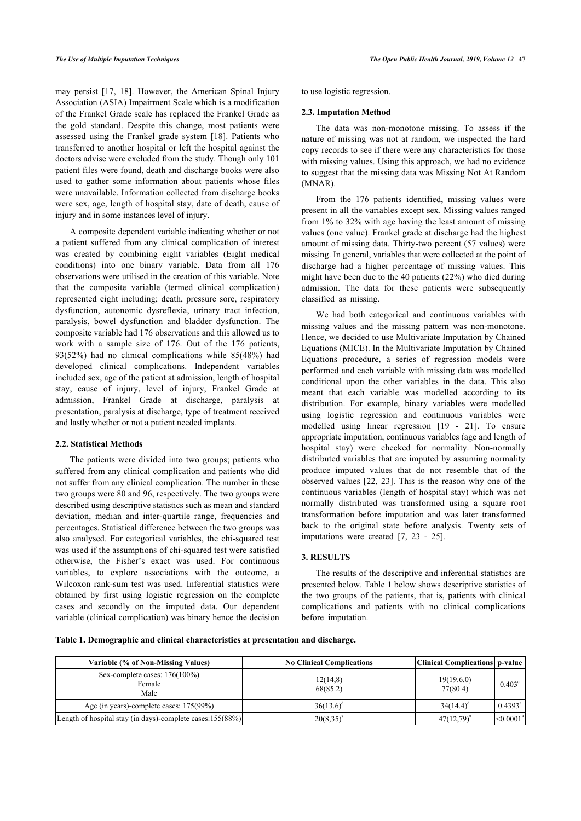may persist [\[17,](#page-9-15) [18](#page-9-16)]. However, the American Spinal Injury Association (ASIA) Impairment Scale which is a modification of the Frankel Grade scale has replaced the Frankel Grade as the gold standard. Despite this change, most patients were assessed using the Frankel grade system [\[18](#page-9-16)]. Patients who transferred to another hospital or left the hospital against the doctors advise were excluded from the study. Though only 101 patient files were found, death and discharge books were also used to gather some information about patients whose files were unavailable. Information collected from discharge books were sex, age, length of hospital stay, date of death, cause of injury and in some instances level of injury.

A composite dependent variable indicating whether or not a patient suffered from any clinical complication of interest was created by combining eight variables (Eight medical conditions) into one binary variable. Data from all 176 observations were utilised in the creation of this variable. Note that the composite variable (termed clinical complication) represented eight including; death, pressure sore, respiratory dysfunction, autonomic dysreflexia, urinary tract infection, paralysis, bowel dysfunction and bladder dysfunction. The composite variable had 176 observations and this allowed us to work with a sample size of 176. Out of the 176 patients, 93(52%) had no clinical complications while 85(48%) had developed clinical complications. Independent variables included sex, age of the patient at admission, length of hospital stay, cause of injury, level of injury, Frankel Grade at admission, Frankel Grade at discharge, paralysis at presentation, paralysis at discharge, type of treatment received and lastly whether or not a patient needed implants.

## **2.2. Statistical Methods**

The patients were divided into two groups; patients who suffered from any clinical complication and patients who did not suffer from any clinical complication. The number in these two groups were 80 and 96, respectively. The two groups were described using descriptive statistics such as mean and standard deviation, median and inter-quartile range, frequencies and percentages. Statistical difference between the two groups was also analysed. For categorical variables, the chi-squared test was used if the assumptions of chi-squared test were satisfied otherwise, the Fisher's exact was used. For continuous variables, to explore associations with the outcome, a Wilcoxon rank-sum test was used. Inferential statistics were obtained by first using logistic regression on the complete cases and secondly on the imputed data. Our dependent variable (clinical complication) was binary hence the decision to use logistic regression.

## **2.3. Imputation Method**

The data was non-monotone missing. To assess if the nature of missing was not at random, we inspected the hard copy records to see if there were any characteristics for those with missing values. Using this approach, we had no evidence to suggest that the missing data was Missing Not At Random (MNAR).

From the 176 patients identified, missing values were present in all the variables except sex. Missing values ranged from 1% to 32% with age having the least amount of missing values (one value). Frankel grade at discharge had the highest amount of missing data. Thirty-two percent (57 values) were missing. In general, variables that were collected at the point of discharge had a higher percentage of missing values. This might have been due to the 40 patients (22%) who died during admission. The data for these patients were subsequently classified as missing.

We had both categorical and continuous variables with missing values and the missing pattern was non-monotone. Hence, we decided to use Multivariate Imputation by Chained Equations (MICE). In the Multivariate Imputation by Chained Equations procedure, a series of regression models were performed and each variable with missing data was modelled conditional upon the other variables in the data. This also meant that each variable was modelled according to its distribution. For example, binary variables were modelled using logistic regression and continuous variables were modelled using linear regression [\[19](#page-9-17) - [21\]](#page-9-18). To ensure appropriate imputation, continuous variables (age and length of hospital stay) were checked for normality. Non-normally distributed variables that are imputed by assuming normality produce imputed values that do not resemble that of the observed values [[22,](#page-10-0) [23\]](#page-10-1). This is the reason why one of the continuous variables (length of hospital stay) which was not normally distributed was transformed using a square root transformation before imputation and was later transformed back to the original state before analysis. Twenty sets of imputations were created[[7](#page-9-5), [23](#page-10-1) - [25](#page-10-2)].

## **3. RESULTS**

The results of the descriptive and inferential statistics are presented below. Table **[1](#page-2-0)** below shows descriptive statistics of the two groups of the patients, that is, patients with clinical complications and patients with no clinical complications before imputation.

<span id="page-2-0"></span>**Table 1. Demographic and clinical characteristics at presentation and discharge.**

| Variable (% of Non-Missing Values)                          | <b>No Clinical Complications</b> | Clinical Complications   p-value |                       |
|-------------------------------------------------------------|----------------------------------|----------------------------------|-----------------------|
| Sex-complete cases: $176(100\%)$<br>Female<br>Male          | 12(14,8)<br>68(85.2)             | 19(19.6.0)<br>77(80.4)           | $0.403^{\circ}$       |
| Age (in years)-complete cases: $175(99\%)$                  | $36(13.6)^{\circ}$               | $34(14.4)^d$                     | $0.4393^{\circ}$      |
| [Length of hospital stay (in days)-complete cases:155(88%)] | $20(8.35)^e$                     | $47(12,79)^e$                    | $<$ 0.0001 $^{\circ}$ |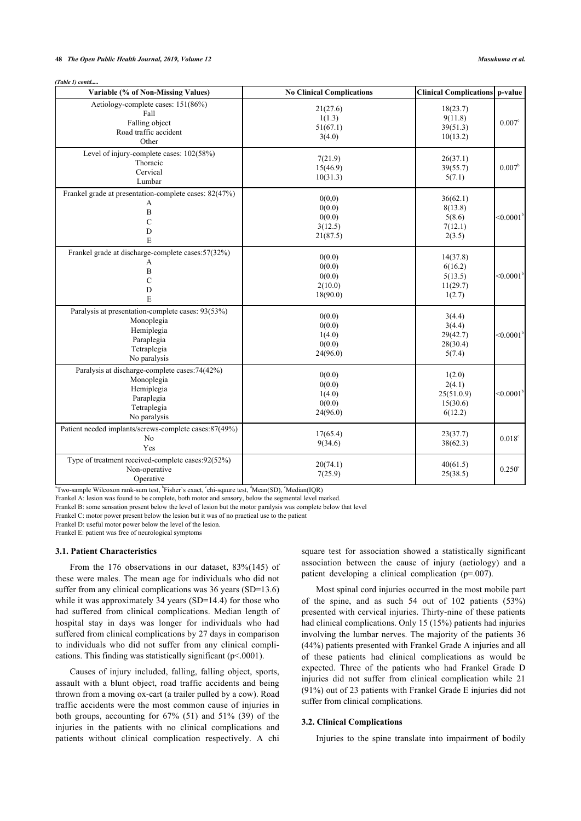#### **48** *The Open Public Health Journal, 2019, Volume 12 Musukuma et al.*

*(Table 1) contd.....*

| Variable (% of Non-Missing Values)                                                                                         | <b>No Clinical Complications</b>                  | <b>Clinical Complications</b> p-value                 |                    |
|----------------------------------------------------------------------------------------------------------------------------|---------------------------------------------------|-------------------------------------------------------|--------------------|
| Aetiology-complete cases: 151(86%)<br>Fall<br>Falling object<br>Road traffic accident<br>Other                             | 21(27.6)<br>1(1.3)<br>51(67.1)<br>3(4.0)          | 18(23.7)<br>9(11.8)<br>39(51.3)<br>10(13.2)           | 0.007 <sup>c</sup> |
| Level of injury-complete cases: 102(58%)<br>Thoracic<br>Cervical<br>Lumbar                                                 | 7(21.9)<br>15(46.9)<br>10(31.3)                   | 26(37.1)<br>39(55.7)<br>5(7.1)                        | $0.007^{\rm b}$    |
| Frankel grade at presentation-complete cases: 82(47%)<br>A<br>$\, {\bf B}$<br>$\overline{C}$<br>D<br>E                     | 0(0,0)<br>0(0.0)<br>0(0.0)<br>3(12.5)<br>21(87.5) | 36(62.1)<br>8(13.8)<br>5(8.6)<br>7(12.1)<br>2(3.5)    | $< 0.0001^b$       |
| Frankel grade at discharge-complete cases: 57(32%)<br>A<br>$\, {\bf B}$<br>$\overline{C}$<br>D<br>E                        | 0(0.0)<br>0(0.0)<br>0(0.0)<br>2(10.0)<br>18(90.0) | 14(37.8)<br>6(16.2)<br>5(13.5)<br>11(29.7)<br>1(2.7)  | $< 0.0001^b$       |
| Paralysis at presentation-complete cases: 93(53%)<br>Monoplegia<br>Hemiplegia<br>Paraplegia<br>Tetraplegia<br>No paralysis | 0(0.0)<br>0(0.0)<br>1(4.0)<br>0(0.0)<br>24(96.0)  | 3(4.4)<br>3(4.4)<br>29(42.7)<br>28(30.4)<br>5(7.4)    | $< 0.0001^b$       |
| Paralysis at discharge-complete cases: 74(42%)<br>Monoplegia<br>Hemiplegia<br>Paraplegia<br>Tetraplegia<br>No paralysis    | 0(0.0)<br>0(0.0)<br>1(4.0)<br>0(0.0)<br>24(96.0)  | 1(2.0)<br>2(4.1)<br>25(51.0.9)<br>15(30.6)<br>6(12.2) | $< 0.0001^b$       |
| Patient needed implants/screws-complete cases:87(49%)<br>No<br>Yes                                                         | 17(65.4)<br>9(34.6)                               | 23(37.7)<br>38(62.3)                                  | 0.018 <sup>c</sup> |
| Type of treatment received-complete cases:92(52%)<br>Non-operative<br>Operative                                            | 20(74.1)<br>7(25.9)                               | 40(61.5)<br>25(38.5)                                  | $0.250^{\circ}$    |

<sup>a</sup>Two-sample Wilcoxon rank-sum test, <sup>b</sup>Fisher's exact, 'chi-sqaure test, <sup>d</sup>Mean(SD), 'Median(IQR)

Frankel A: lesion was found to be complete, both motor and sensory, below the segmental level marked.

Frankel B: some sensation present below the level of lesion but the motor paralysis was complete below that level

Frankel C: motor power present below the lesion but it was of no practical use to the patient

Frankel D: useful motor power below the level of the lesion.

Frankel E: patient was free of neurological symptoms

## **3.1. Patient Characteristics**

From the 176 observations in our dataset, 83%(145) of these were males. The mean age for individuals who did not suffer from any clinical complications was 36 years (SD=13.6) while it was approximately 34 years (SD=14.4) for those who had suffered from clinical complications. Median length of hospital stay in days was longer for individuals who had suffered from clinical complications by 27 days in comparison to individuals who did not suffer from any clinical complications. This finding was statistically significant (p<.0001).

Causes of injury included, falling, falling object, sports, assault with a blunt object, road traffic accidents and being thrown from a moving ox-cart (a trailer pulled by a cow). Road traffic accidents were the most common cause of injuries in both groups, accounting for 67% (51) and 51% (39) of the injuries in the patients with no clinical complications and patients without clinical complication respectively. A chi

square test for association showed a statistically significant association between the cause of injury (aetiology) and a patient developing a clinical complication (p=.007).

Most spinal cord injuries occurred in the most mobile part of the spine, and as such 54 out of 102 patients (53%) presented with cervical injuries. Thirty-nine of these patients had clinical complications. Only 15 (15%) patients had injuries involving the lumbar nerves. The majority of the patients 36 (44%) patients presented with Frankel Grade A injuries and all of these patients had clinical complications as would be expected. Three of the patients who had Frankel Grade D injuries did not suffer from clinical complication while 21 (91%) out of 23 patients with Frankel Grade E injuries did not suffer from clinical complications.

## **3.2. Clinical Complications**

Injuries to the spine translate into impairment of bodily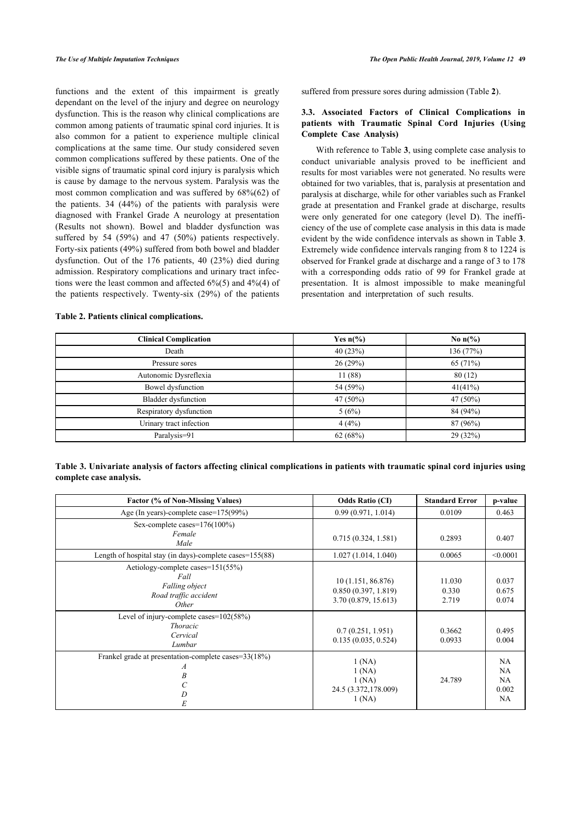functions and the extent of this impairment is greatly dependant on the level of the injury and degree on neurology dysfunction. This is the reason why clinical complications are common among patients of traumatic spinal cord injuries. It is also common for a patient to experience multiple clinical complications at the same time. Our study considered seven common complications suffered by these patients. One of the visible signs of traumatic spinal cord injury is paralysis which is cause by damage to the nervous system. Paralysis was the most common complication and was suffered by 68%(62) of the patients. 34 (44%) of the patients with paralysis were diagnosed with Frankel Grade A neurology at presentation (Results not shown). Bowel and bladder dysfunction was suffered by 54 (59%) and 47 (50%) patients respectively. Forty-six patients (49%) suffered from both bowel and bladder dysfunction. Out of the 176 patients, 40 (23%) died during admission. Respiratory complications and urinary tract infections were the least common and affected 6%(5) and 4%(4) of the patients respectively. Twenty-six (29%) of the patients

<span id="page-4-0"></span>**Table 2. Patients clinical complications.**

suffered from pressure sores during admission (Table **[2](#page-4-0)**).

## **3.3. Associated Factors of Clinical Complications in patients with Traumatic Spinal Cord Injuries (Using Complete Case Analysis)**

With reference to Table **[3](#page-4-1)**, using complete case analysis to conduct univariable analysis proved to be inefficient and results for most variables were not generated. No results were obtained for two variables, that is, paralysis at presentation and paralysis at discharge, while for other variables such as Frankel grade at presentation and Frankel grade at discharge, results were only generated for one category (level D). The inefficiency of the use of complete case analysis in this data is made evident by the wide confidence intervals as shown in Table **[3](#page-4-1)**. Extremely wide confidence intervals ranging from 8 to 1224 is observed for Frankel grade at discharge and a range of 3 to 178 with a corresponding odds ratio of 99 for Frankel grade at presentation. It is almost impossible to make meaningful presentation and interpretation of such results.

| <b>Clinical Complication</b> | Yes $n\frac{6}{6}$ | No $n\frac{6}{6}$ |
|------------------------------|--------------------|-------------------|
| Death                        | 40(23%)            | 136 (77%)         |
| Pressure sores               | 26(29%)            | 65 (71%)          |
| Autonomic Dysreflexia        | 11 (88)            | 80(12)            |
| Bowel dysfunction            | 54 (59%)           | 41(41%)           |
| <b>Bladder</b> dysfunction   | 47 (50%)           | 47 (50%)          |
| Respiratory dysfunction      | 5(6%)              | 84 (94%)          |
| Urinary tract infection      | 4(4%)              | 87 (96%)          |
| Paralysis=91                 | 62(68%)            | 29 (32%)          |

<span id="page-4-1"></span>**Table 3. Univariate analysis of factors affecting clinical complications in patients with traumatic spinal cord injuries using complete case analysis.**

| Factor (% of Non-Missing Values)                                                              | <b>Odds Ratio (CI)</b>                                           | <b>Standard Error</b>    | p-value                              |
|-----------------------------------------------------------------------------------------------|------------------------------------------------------------------|--------------------------|--------------------------------------|
| Age (In years)-complete case=175(99%)                                                         | 0.99(0.971, 1.014)                                               | 0.0109                   | 0.463                                |
| Sex-complete cases= $176(100\%)$<br>Female<br>Male                                            | 0.715(0.324, 1.581)                                              | 0.2893                   | 0.407                                |
| Length of hospital stay (in days)-complete cases= $155(88)$                                   | 1.027(1.014, 1.040)                                              | 0.0065                   | < 0.0001                             |
| Aetiology-complete cases=151(55%)<br>Fall<br>Falling object<br>Road traffic accident<br>Other | 10(1.151, 86.876)<br>0.850(0.397, 1.819)<br>3.70 (0.879, 15.613) | 11.030<br>0.330<br>2.719 | 0.037<br>0.675<br>0.074              |
| Level of injury-complete cases= $102(58%)$<br><i>Thoracic</i><br>Cervical<br>Lumbar           | 0.7(0.251, 1.951)<br>0.135(0.035, 0.524)                         | 0.3662<br>0.0933         | 0.495<br>0.004                       |
| Frankel grade at presentation-complete cases=33(18%)<br>A<br>B<br>D<br>E                      | 1(NA)<br>1(NA)<br>1(NA)<br>24.5 (3.372,178.009)<br>1(NA)         | 24.789                   | NA<br>NA<br>NA<br>0.002<br><b>NA</b> |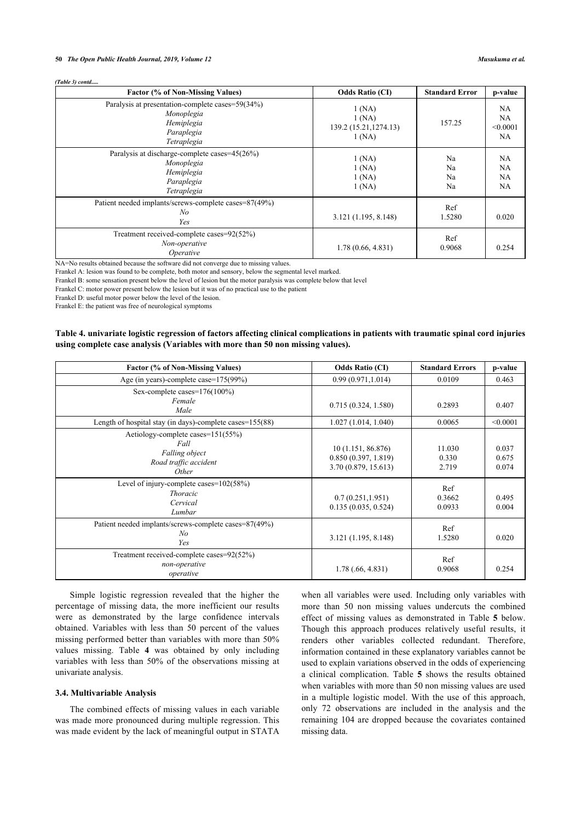#### **50** *The Open Public Health Journal, 2019, Volume 12 Musukuma et al.*

| (Table 3) contd |  |
|-----------------|--|
|-----------------|--|

| Factor (% of Non-Missing Values)                                                                          | <b>Odds Ratio (CI)</b>                            | <b>Standard Error</b> | p-value                                          |
|-----------------------------------------------------------------------------------------------------------|---------------------------------------------------|-----------------------|--------------------------------------------------|
| Paralysis at presentation-complete cases=59(34%)<br>Monoplegia<br>Hemiplegia<br>Paraplegia<br>Tetraplegia | 1(NA)<br>1(NA)<br>139.2 (15.21, 1274.13)<br>1(NA) | 157.25                | NA<br><b>NA</b><br>< 0.0001<br><b>NA</b>         |
| Paralysis at discharge-complete cases=45(26%)<br>Monoplegia<br>Hemiplegia<br>Paraplegia<br>Tetraplegia    | 1(NA)<br>1(NA)<br>1(NA)<br>1(NA)                  | Na<br>Na<br>Na<br>Na  | <b>NA</b><br><b>NA</b><br><b>NA</b><br><b>NA</b> |
| Patient needed implants/screws-complete cases=87(49%)<br>No<br>Yes                                        | 3.121 (1.195, 8.148)                              | Ref<br>1.5280         | 0.020                                            |
| Treatment received-complete cases=92(52%)<br>Non-operative<br>Operative                                   | 1.78(0.66, 4.831)                                 | Ref<br>0.9068         | 0.254                                            |

NA=No results obtained because the software did not converge due to missing values.

Frankel A: lesion was found to be complete, both motor and sensory, below the segmental level marked.

Frankel B: some sensation present below the level of lesion but the motor paralysis was complete below that level

Frankel C: motor power present below the lesion but it was of no practical use to the patient

Frankel D: useful motor power below the level of the lesion.

Frankel E: the patient was free of neurological symptoms

## <span id="page-5-0"></span>**Table 4. univariate logistic regression of factors affecting clinical complications in patients with traumatic spinal cord injuries using complete case analysis (Variables with more than 50 non missing values).**

| Factor (% of Non-Missing Values)                                                              | <b>Odds Ratio (CI)</b>                                            | <b>Standard Errors</b>   | p-value                 |
|-----------------------------------------------------------------------------------------------|-------------------------------------------------------------------|--------------------------|-------------------------|
| Age (in years)-complete case= $175(99\%)$                                                     | 0.99(0.971, 1.014)                                                | 0.0109                   | 0.463                   |
| Sex-complete cases= $176(100\%)$<br>Female<br>Male                                            | 0.715(0.324, 1.580)                                               | 0.2893                   | 0.407                   |
| Length of hospital stay (in days)-complete cases=155(88)                                      | 1.027(1.014, 1.040)                                               | 0.0065                   | < 0.0001                |
| Aetiology-complete cases=151(55%)<br>Fall<br>Falling object<br>Road traffic accident<br>Other | 10 (1.151, 86.876)<br>0.850(0.397, 1.819)<br>3.70 (0.879, 15.613) | 11.030<br>0.330<br>2.719 | 0.037<br>0.675<br>0.074 |
| Level of injury-complete cases= $102(58%)$<br><b>Thoracic</b><br>Cervical<br>Lumbar           | 0.7(0.251, 1.951)<br>0.135(0.035, 0.524)                          | Ref<br>0.3662<br>0.0933  | 0.495<br>0.004          |
| Patient needed implants/screws-complete cases=87(49%)<br>No<br>Yes                            | 3.121 (1.195, 8.148)                                              | Ref<br>1.5280            | 0.020                   |
| Treatment received-complete cases=92(52%)<br>non-operative<br>operative                       | 1.78(.66, 4.831)                                                  | Ref<br>0.9068            | 0.254                   |

Simple logistic regression revealed that the higher the percentage of missing data, the more inefficient our results were as demonstrated by the large confidence intervals obtained. Variables with less than 50 percent of the values missing performed better than variables with more than 50% values missing. Table**4** was obtained by only including variables with less than 50% of the observations missing at univariate analysis.

## **3.4. Multivariable Analysis**

<span id="page-5-1"></span>The combined effects of missing values in each variable was made more pronounced during multiple regression. This was made evident by the lack of meaningful output in STATA

when all variables were used. Including only variables with more than 50 non missing values undercuts the combined effect of missing values as demonstrated in Table**5** below. Though this approach produces relatively useful results, it renders other variables collected redundant. Therefore, information contained in these explanatory variables cannot be used to explain variations observed in the odds of experiencing a clinical complication. Table**5** shows the results obtained when variables with more than 50 non missing values are used in a multiple logistic model. With the use of this approach, only 72 observations are included in the analysis and the remaining 104 are dropped because the covariates contained missing data.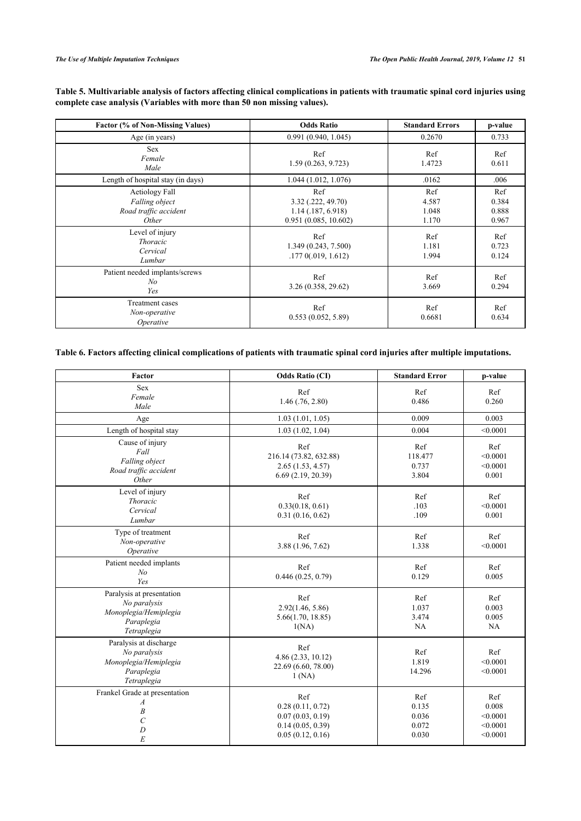## **Table 5. Multivariable analysis of factors affecting clinical complications in patients with traumatic spinal cord injuries using complete case analysis (Variables with more than 50 non missing values).**

| <b>Factor (% of Non-Missing Values)</b>                            | <b>Odds Ratio</b>                                                         | <b>Standard Errors</b>         | p-value                        |
|--------------------------------------------------------------------|---------------------------------------------------------------------------|--------------------------------|--------------------------------|
| Age (in years)                                                     | 0.991(0.940, 1.045)                                                       | 0.2670                         | 0.733                          |
| <b>Sex</b><br>Female<br>Male                                       | Ref<br>1.59(0.263, 9.723)                                                 | Ref<br>1.4723                  | Ref<br>0.611                   |
| Length of hospital stay (in days)                                  | 1.044(1.012, 1.076)                                                       | .0162                          | .006                           |
| Aetiology Fall<br>Falling object<br>Road traffic accident<br>Other | Ref<br>3.32 (.222, 49.70)<br>$1.14$ (.187, 6.918)<br>0.951(0.085, 10.602) | Ref<br>4.587<br>1.048<br>1.170 | Ref<br>0.384<br>0.888<br>0.967 |
| Level of injury<br><i>Thoracic</i><br>Cervical<br>Lumbar           | Ref<br>1.349 (0.243, 7.500)<br>.1770(.019, 1.612)                         | Ref<br>1.181<br>1.994          | Ref<br>0.723<br>0.124          |
| Patient needed implants/screws<br>N <sub>o</sub><br>Yes            | Ref<br>3.26 (0.358, 29.62)                                                | Ref<br>3.669                   | Ref<br>0.294                   |
| <b>Treatment</b> cases<br>Non-operative<br>Operative               | Ref<br>0.553(0.052, 5.89)                                                 | Ref<br>0.6681                  | Ref<br>0.634                   |

## <span id="page-6-0"></span>**Table 6. Factors affecting clinical complications of patients with traumatic spinal cord injuries after multiple imputations.**

| Factor                                                                                          | <b>Odds Ratio (CI)</b>                                                              | <b>Standard Error</b>                   | p-value                                          |
|-------------------------------------------------------------------------------------------------|-------------------------------------------------------------------------------------|-----------------------------------------|--------------------------------------------------|
| <b>Sex</b><br>Female<br>Male                                                                    | Ref<br>$1.46$ $(.76, 2.80)$                                                         | Ref<br>0.486                            | Ref<br>0.260                                     |
| Age                                                                                             | 1.03(1.01, 1.05)                                                                    | 0.009                                   | 0.003                                            |
| Length of hospital stay                                                                         | 1.03(1.02, 1.04)                                                                    | 0.004                                   | < 0.0001                                         |
| Cause of injury<br>Fall<br>Falling object<br>Road traffic accident<br>Other                     | Ref<br>216.14 (73.82, 632.88)<br>2.65(1.53, 4.57)<br>6.69(2.19, 20.39)              | Ref<br>118.477<br>0.737<br>3.804        | Ref<br>< 0.0001<br>< 0.0001<br>0.001             |
| Level of injury<br><b>Thoracic</b><br>Cervical<br>Lumbar                                        | Ref<br>0.33(0.18, 0.61)<br>0.31(0.16, 0.62)                                         | Ref<br>.103<br>.109                     | Ref<br>< 0.0001<br>0.001                         |
| Type of treatment<br>Non-operative<br>Operative                                                 | Ref<br>3.88 (1.96, 7.62)                                                            | Ref<br>1.338                            | Ref<br>< 0.0001                                  |
| Patient needed implants<br>N <sub>o</sub><br>Yes                                                | Ref<br>0.446(0.25, 0.79)                                                            | Ref<br>0.129                            | Ref<br>0.005                                     |
| Paralysis at presentation<br>No paralysis<br>Monoplegia/Hemiplegia<br>Paraplegia<br>Tetraplegia | Ref<br>2.92(1.46, 5.86)<br>5.66(1.70, 18.85)<br>1(NA)                               | Ref<br>1.037<br>3.474<br>NA             | Ref<br>0.003<br>0.005<br>NA                      |
| Paralysis at discharge<br>No paralysis<br>Monoplegia/Hemiplegia<br>Paraplegia<br>Tetraplegia    | Ref<br>4.86(2.33, 10.12)<br>22.69 (6.60, 78.00)<br>1(NA)                            | Ref<br>1.819<br>14.296                  | Ref<br>< 0.0001<br>< 0.0001                      |
| Frankel Grade at presentation<br>A<br>$\boldsymbol{B}$<br>$\cal C$<br>$\boldsymbol{D}$<br>E     | Ref<br>0.28(0.11, 0.72)<br>0.07(0.03, 0.19)<br>0.14(0.05, 0.39)<br>0.05(0.12, 0.16) | Ref<br>0.135<br>0.036<br>0.072<br>0.030 | Ref<br>0.008<br>< 0.0001<br>< 0.0001<br>< 0.0001 |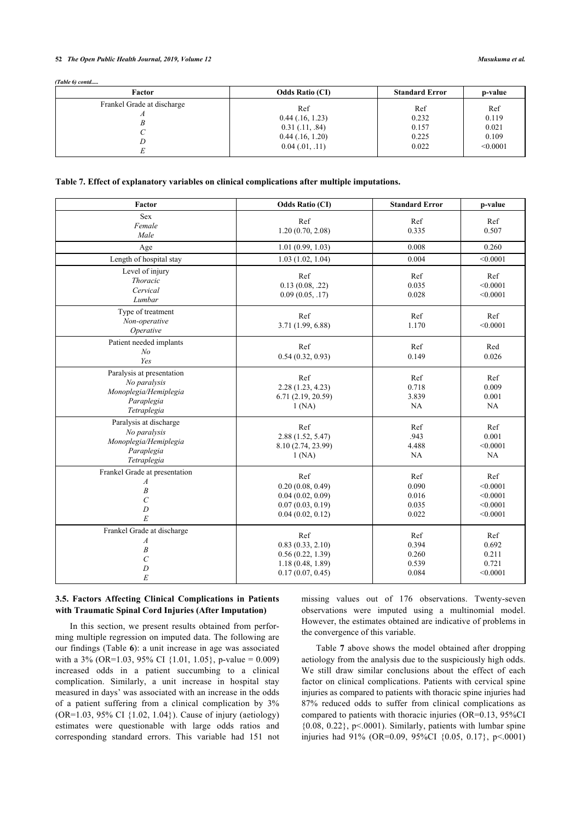#### **52** *The Open Public Health Journal, 2019, Volume 12 Musukuma et al.*

*(Table 6) contd.....*

| Factor                     | <b>Odds Ratio (CI)</b> | <b>Standard Error</b> | p-value  |
|----------------------------|------------------------|-----------------------|----------|
| Frankel Grade at discharge | Ref                    | Ref                   | Ref      |
|                            | $0.44$ (.16, 1.23)     | 0.232                 | 0.119    |
|                            | $0.31$ (.11, .84)      | 0.157                 | 0.021    |
|                            | $0.44$ (.16, 1.20)     | 0.225                 | 0.109    |
|                            | $0.04$ (.01, .11)      | 0.022                 | < 0.0001 |

## <span id="page-7-0"></span>**Table 7. Effect of explanatory variables on clinical complications after multiple imputations.**

| Factor                                                                                                       | <b>Odds Ratio (CI)</b>                                                              | <b>Standard Error</b>                   | p-value                                             |
|--------------------------------------------------------------------------------------------------------------|-------------------------------------------------------------------------------------|-----------------------------------------|-----------------------------------------------------|
| Sex<br>Female<br>Male                                                                                        | Ref<br>1.20(0.70, 2.08)                                                             | Ref<br>0.335                            | Ref<br>0.507                                        |
| Age                                                                                                          | 1.01(0.99, 1.03)                                                                    | 0.008                                   | 0.260                                               |
| Length of hospital stay                                                                                      | 1.03(1.02, 1.04)                                                                    | 0.004                                   | < 0.0001                                            |
| Level of injury<br><b>Thoracic</b><br>Cervical<br>Lumbar                                                     | Ref<br>0.13(0.08, .22)<br>0.09(0.05, .17)                                           | Ref<br>0.035<br>0.028                   | Ref<br>< 0.0001<br>< 0.0001                         |
| Type of treatment<br>Non-operative<br>Operative                                                              | Ref<br>3.71 (1.99, 6.88)                                                            | Ref<br>1.170                            | Ref<br>< 0.0001                                     |
| Patient needed implants<br>N <sub>o</sub><br>Yes                                                             | Ref<br>0.54(0.32, 0.93)                                                             | Ref<br>0.149                            | Red<br>0.026                                        |
| Paralysis at presentation<br>No paralysis<br>Monoplegia/Hemiplegia<br>Paraplegia<br>Tetraplegia              | Ref<br>2.28(1.23, 4.23)<br>6.71(2.19, 20.59)<br>1(NA)                               | Ref<br>0.718<br>3.839<br>NA             | Ref<br>0.009<br>0.001<br>NA                         |
| Paralysis at discharge<br>No paralysis<br>Monoplegia/Hemiplegia<br>Paraplegia<br>Tetraplegia                 | Ref<br>2.88 (1.52, 5.47)<br>8.10 (2.74, 23.99)<br>1(NA)                             | Ref<br>.943<br>4.488<br>NA              | Ref<br>0.001<br>< 0.0001<br><b>NA</b>               |
| Frankel Grade at presentation<br>$\boldsymbol{A}$<br>$\overline{B}$<br>$\overline{C}$<br>$\overline{D}$<br>E | Ref<br>0.20(0.08, 0.49)<br>0.04(0.02, 0.09)<br>0.07(0.03, 0.19)<br>0.04(0.02, 0.12) | Ref<br>0.090<br>0.016<br>0.035<br>0.022 | Ref<br>< 0.0001<br>< 0.0001<br>< 0.0001<br>< 0.0001 |
| Frankel Grade at discharge<br>$\boldsymbol{A}$<br>$\boldsymbol{B}$<br>$\mathcal{C}_{0}^{0}$<br>D<br>E        | Ref<br>0.83(0.33, 2.10)<br>0.56(0.22, 1.39)<br>1.18(0.48, 1.89)<br>0.17(0.07, 0.45) | Ref<br>0.394<br>0.260<br>0.539<br>0.084 | Ref<br>0.692<br>0.211<br>0.721<br>< 0.0001          |

## **3.5. Factors Affecting Clinical Complications in Patients with Traumatic Spinal Cord Injuries (After Imputation)**

In this section, we present results obtained from performing multiple regression on imputed data. The following are our findings (Table **[6](#page-6-0)**): a unit increase in age was associated with a  $3\%$  (OR=1.03, 95% CI {1.01, 1.05}, p-value = 0.009) increased odds in a patient succumbing to a clinical complication. Similarly, a unit increase in hospital stay measured in days' was associated with an increase in the odds of a patient suffering from a clinical complication by 3% (OR=1.03, 95% CI {1.02, 1.04}). Cause of injury (aetiology) estimates were questionable with large odds ratios and corresponding standard errors. This variable had 151 not missing values out of 176 observations. Twenty-seven observations were imputed using a multinomial model. However, the estimates obtained are indicative of problems in the convergence of this variable.

Table **[7](#page-7-0)** above shows the model obtained after dropping aetiology from the analysis due to the suspiciously high odds. We still draw similar conclusions about the effect of each factor on clinical complications. Patients with cervical spine injuries as compared to patients with thoracic spine injuries had 87% reduced odds to suffer from clinical complications as compared to patients with thoracic injuries (OR=0.13, 95%CI  ${0.08, 0.22}$ , p<.0001). Similarly, patients with lumbar spine injuries had 91% (OR=0.09, 95%CI {0.05, 0.17}, p<.0001)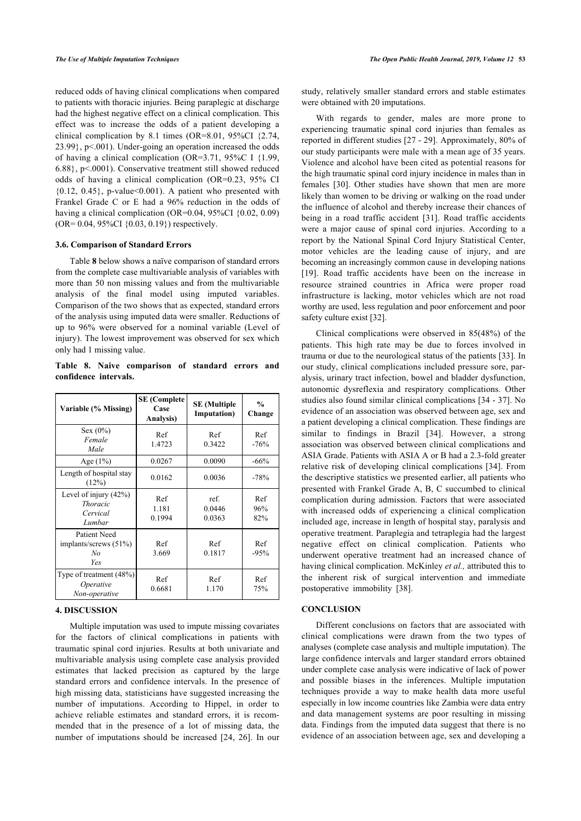reduced odds of having clinical complications when compared to patients with thoracic injuries. Being paraplegic at discharge had the highest negative effect on a clinical complication. This effect was to increase the odds of a patient developing a clinical complication by 8.1 times (OR=8.01, 95%CI {2.74, 23.99}, p<.001). Under-going an operation increased the odds of having a clinical complication (OR=3.71, 95%C I {1.99, 6.88}, p<.0001). Conservative treatment still showed reduced odds of having a clinical complication (OR=0.23, 95% CI  ${0.12, 0.45}$ , p-value<0.001). A patient who presented with Frankel Grade C or E had a 96% reduction in the odds of having a clinical complication (OR=0.04, 95%CI {0.02, 0.09) (OR= 0.04, 95%CI {0.03, 0.19}) respectively.

#### **3.6. Comparison of Standard Errors**

Table **[8](#page-8-0)** below shows a naïve comparison of standard errors from the complete case multivariable analysis of variables with more than 50 non missing values and from the multivariable analysis of the final model using imputed variables. Comparison of the two shows that as expected, standard errors of the analysis using imputed data were smaller. Reductions of up to 96% were observed for a nominal variable (Level of injury). The lowest improvement was observed for sex which only had 1 missing value.

<span id="page-8-0"></span>**Table 8. Naive comparison of standard errors and confidence intervals.**

| Variable (% Missing)                                              | <b>SE</b> (Complete<br>Case<br>Analysis) | <b>SE</b> (Multiple<br><b>Imputation</b> ) | $\frac{0}{0}$<br>Change |
|-------------------------------------------------------------------|------------------------------------------|--------------------------------------------|-------------------------|
| $Sex (0\%)$<br>Female<br>Male                                     | Ref<br>1.4723                            | Ref<br>0.3422                              | Ref<br>$-76%$           |
| Age $(1%)$                                                        | 0.0267                                   | 0.0090                                     | $-66%$                  |
| Length of hospital stay<br>(12%)                                  | 0.0162                                   | 0.0036                                     | $-78%$                  |
| Level of injury $(42\%)$<br><i>Thoracic</i><br>Cervical<br>Lumbar | Ref<br>1.181<br>0.1994                   | ref.<br>0.0446<br>0.0363                   | Ref<br>96%<br>82%       |
| Patient Need<br>implants/screws $(51\%)$<br>No<br>Yes             | Ref<br>3.669                             | Ref<br>0.1817                              | Ref<br>$-95%$           |
| Type of treatment (48%)<br>Operative<br>Non-operative             | Ref<br>0.6681                            | Ref<br>1.170                               | Ref<br>75%              |

## **4. DISCUSSION**

Multiple imputation was used to impute missing covariates for the factors of clinical complications in patients with traumatic spinal cord injuries. Results at both univariate and multivariable analysis using complete case analysis provided estimates that lacked precision as captured by the large standard errors and confidence intervals. In the presence of high missing data, statisticians have suggested increasing the number of imputations. According to Hippel, in order to achieve reliable estimates and standard errors, it is recommended that in the presence of a lot of missing data, the number of imputations should be increased [\[24](#page-10-3), [26\]](#page-10-4). In our

study, relatively smaller standard errors and stable estimates were obtained with 20 imputations.

With regards to gender, males are more prone to experiencing traumatic spinal cord injuries than females as reported in different studies [\[27](#page-10-5) - [29\]](#page-10-6). Approximately, 80% of our study participants were male with a mean age of 35 years. Violence and alcohol have been cited as potential reasons for the high traumatic spinal cord injury incidence in males than in females[[30\]](#page-10-7). Other studies have shown that men are more likely than women to be driving or walking on the road under the influence of alcohol and thereby increase their chances of being in a road traffic accident [\[31](#page-10-8)]. Road traffic accidents were a major cause of spinal cord injuries. According to a report by the National Spinal Cord Injury Statistical Center, motor vehicles are the leading cause of injury, and are becoming an increasingly common cause in developing nations [[19](#page-9-17)]. Road traffic accidents have been on the increase in resource strained countries in Africa were proper road infrastructure is lacking, motor vehicles which are not road worthy are used, less regulation and poor enforcement and poor safety culture exist [\[32](#page-10-9)].

Clinical complications were observed in 85(48%) of the patients. This high rate may be due to forces involved in trauma or due to the neurological status of the patients [\[33](#page-10-10)]. In our study, clinical complications included pressure sore, paralysis, urinary tract infection, bowel and bladder dysfunction, autonomic dysreflexia and respiratory complications. Other studies also found similar clinical complications [\[34](#page-10-11) - [37\]](#page-10-12). No evidence of an association was observed between age, sex and a patient developing a clinical complication. These findings are similar to findings in Brazil[[34](#page-10-11)]. However, a strong association was observed between clinical complications and ASIA Grade. Patients with ASIA A or B had a 2.3-fold greater relative risk of developing clinical complications [[34](#page-10-11)]. From the descriptive statistics we presented earlier, all patients who presented with Frankel Grade A, B, C succumbed to clinical complication during admission. Factors that were associated with increased odds of experiencing a clinical complication included age, increase in length of hospital stay, paralysis and operative treatment. Paraplegia and tetraplegia had the largest negative effect on clinical complication. Patients who underwent operative treatment had an increased chance of having clinical complication. McKinley *et al.,* attributed this to the inherent risk of surgical intervention and immediate postoperative immobility[[38\]](#page-10-13).

#### **CONCLUSION**

Different conclusions on factors that are associated with clinical complications were drawn from the two types of analyses (complete case analysis and multiple imputation). The large confidence intervals and larger standard errors obtained under complete case analysis were indicative of lack of power and possible biases in the inferences. Multiple imputation techniques provide a way to make health data more useful especially in low income countries like Zambia were data entry and data management systems are poor resulting in missing data. Findings from the imputed data suggest that there is no evidence of an association between age, sex and developing a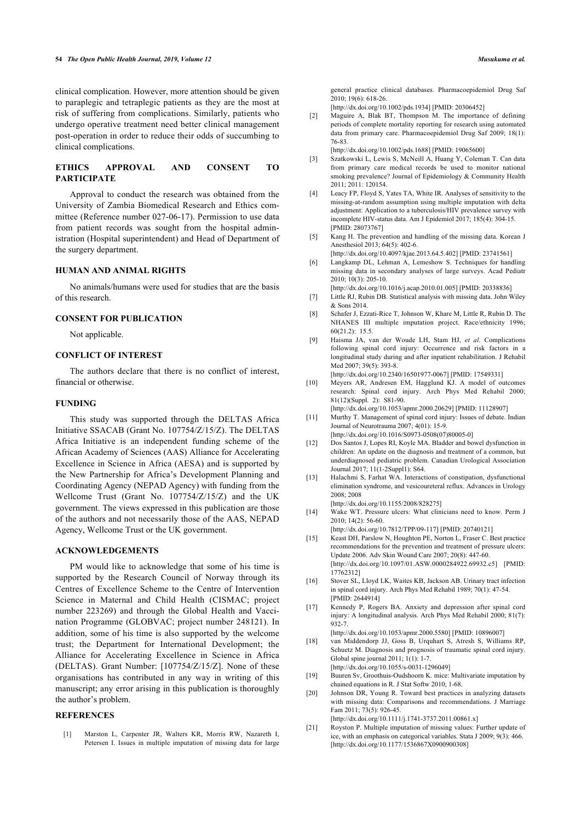clinical complication. However, more attention should be given to paraplegic and tetraplegic patients as they are the most at risk of suffering from complications. Similarly, patients who undergo operative treatment need better clinical management post-operation in order to reduce their odds of succumbing to clinical complications.

## <span id="page-9-1"></span>**ETHICS APPROVAL AND CONSENT TO PARTICIPATE**

<span id="page-9-2"></span>Approval to conduct the research was obtained from the University of Zambia Biomedical Research and Ethics committee (Reference number 027-06-17). Permission to use data from patient records was sought from the hospital administration (Hospital superintendent) and Head of Department of the surgery department.

## <span id="page-9-4"></span><span id="page-9-3"></span>**HUMAN AND ANIMAL RIGHTS**

<span id="page-9-5"></span>No animals/humans were used for studies that are the basis of this research.

## <span id="page-9-6"></span>**CONSENT FOR PUBLICATION**

Not applicable.

#### <span id="page-9-7"></span>**CONFLICT OF INTEREST**

<span id="page-9-8"></span>The authors declare that there is no conflict of interest, financial or otherwise.

## **FUNDING**

<span id="page-9-11"></span><span id="page-9-10"></span><span id="page-9-9"></span>This study was supported through the DELTAS Africa Initiative SSACAB (Grant No. 107754/Z/15/Z). The DELTAS Africa Initiative is an independent funding scheme of the African Academy of Sciences (AAS) Alliance for Accelerating Excellence in Science in Africa (AESA) and is supported by the New Partnership for Africa's Development Planning and Coordinating Agency (NEPAD Agency) with funding from the Wellcome Trust (Grant No. 107754/Z/15/Z) and the UK government. The views expressed in this publication are those of the authors and not necessarily those of the AAS, NEPAD Agency, Wellcome Trust or the UK government.

## <span id="page-9-13"></span><span id="page-9-12"></span>**ACKNOWLEDGEMENTS**

<span id="page-9-16"></span><span id="page-9-15"></span><span id="page-9-14"></span>PM would like to acknowledge that some of his time is supported by the Research Council of Norway through its Centres of Excellence Scheme to the Centre of Intervention Science in Maternal and Child Health (CISMAC; project number 223269) and through the Global Health and Vaccination Programme (GLOBVAC; project number 248121). In addition, some of his time is also supported by the welcome trust; the Department for International Development; the Alliance for Accelerating Excellence in Science in Africa (DELTAS). Grant Number: [107754/Z/15/Z]. None of these organisations has contributed in any way in writing of this manuscript; any error arising in this publication is thoroughly the author's problem.

## <span id="page-9-18"></span><span id="page-9-17"></span><span id="page-9-0"></span>**REFERENCES**

[1] Marston L, Carpenter JR, Walters KR, Morris RW, Nazareth I, Petersen I. Issues in multiple imputation of missing data for large general practice clinical databases. Pharmacoepidemiol Drug Saf 2010; 19(6): 618-26.

[\[http://dx.doi.org/10.1002/pds.1934\]](http://dx.doi.org/10.1002/pds.1934) [PMID: [20306452\]](http://www.ncbi.nlm.nih.gov/pubmed/20306452)

[2] Maguire A, Blak BT, Thompson M. The importance of defining periods of complete mortality reporting for research using automated data from primary care. Pharmacoepidemiol Drug Saf 2009; 18(1): 76-83.

[\[http://dx.doi.org/10.1002/pds.1688\]](http://dx.doi.org/10.1002/pds.1688) [PMID: [19065600\]](http://www.ncbi.nlm.nih.gov/pubmed/19065600)

- [3] Szatkowski L, Lewis S, McNeill A, Huang Y, Coleman T. Can data from primary care medical records be used to monitor national smoking prevalence? Journal of Epidemiology & Community Health 2011; 2011: 120154.
- [4] Leacy FP, Floyd S, Yates TA, White IR. Analyses of sensitivity to the missing-at-random assumption using multiple imputation with delta adjustment: Application to a tuberculosis/HIV prevalence survey with incomplete HIV-status data. Am J Epidemiol 2017; 185(4): 304-15. [PMID: [28073767\]](http://www.ncbi.nlm.nih.gov/pubmed/28073767)
- [5] Kang H. The prevention and handling of the missing data. Korean J Anesthesiol 2013; 64(5): 402-6.
- [\[http://dx.doi.org/10.4097/kjae.2013.64.5.402](http://dx.doi.org/10.4097/kjae.2013.64.5.402)] [PMID: [23741561\]](http://www.ncbi.nlm.nih.gov/pubmed/23741561)
- [6] Langkamp DL, Lehman A, Lemeshow S. Techniques for handling missing data in secondary analyses of large surveys. Acad Pediatr 2010; 10(3): 205-10.
	- [\[http://dx.doi.org/10.1016/j.acap.2010.01.005\]](http://dx.doi.org/10.1016/j.acap.2010.01.005) [PMID: [20338836](http://www.ncbi.nlm.nih.gov/pubmed/20338836)]
- [7] Little RJ, Rubin DB. Statistical analysis with missing data. John Wiley & Sons 2014.
- [8] Schafer J, Ezzati-Rice T, Johnson W, Khare M, Little R, Rubin D. The NHANES III multiple imputation project. Race/ethnicity 1996; 60(21.2): 15.5.
- [9] Haisma JA, van der Woude LH, Stam HJ, *et al.* Complications following spinal cord injury: Occurrence and risk factors in a longitudinal study during and after inpatient rehabilitation. J Rehabil Med 2007; 39(5): 393-8.

[\[http://dx.doi.org/10.2340/16501977-0067\]](http://dx.doi.org/10.2340/16501977-0067) [PMID: [17549331](http://www.ncbi.nlm.nih.gov/pubmed/17549331)]

- [10] Meyers AR, Andresen EM, Hagglund KJ. A model of outcomes research: Spinal cord injury. Arch Phys Med Rehabil 2000; 81(12)(Suppl. 2): S81-90. [\[http://dx.doi.org/10.1053/apmr.2000.20629\]](http://dx.doi.org/10.1053/apmr.2000.20629) [PMID: [11128907](http://www.ncbi.nlm.nih.gov/pubmed/11128907)]
- [11] Murthy T. Management of spinal cord injury: Issues of debate. Indian Journal of Neurotrauma 2007; 4(01): 15-9.
- [\[http://dx.doi.org/10.1016/S0973-0508\(07\)80005-0\]](http://dx.doi.org/10.1016/S0973-0508(07)80005-0) [12] Dos Santos J, Lopes RI, Koyle MA. Bladder and bowel dysfunction in
- children: An update on the diagnosis and treatment of a common, but underdiagnosed pediatric problem. Canadian Urological Association Journal 2017; 11(1-2Suppl1): S64.
- [13] Halachmi S, Farhat WA. Interactions of constipation, dysfunctional elimination syndrome, and vesicoureteral reflux. Advances in Urology 2008; 2008 [\[http://dx.doi.org/10.1155/2008/828275](http://dx.doi.org/10.1155/2008/828275)]
- [14] Wake WT. Pressure ulcers: What clinicians need to know. Perm J 2010; 14(2): 56-60.

[\[http://dx.doi.org/10.7812/TPP/09-117](http://dx.doi.org/10.7812/TPP/09-117)] [PMID: [20740121\]](http://www.ncbi.nlm.nih.gov/pubmed/20740121)

- [15] Keast DH, Parslow N, Houghton PE, Norton L, Fraser C. Best practice recommendations for the prevention and treatment of pressure ulcers: Update 2006. Adv Skin Wound Care 2007; 20(8): 447-60. [\[http://dx.doi.org/10.1097/01.ASW.0000284922.69932.c5](http://dx.doi.org/10.1097/01.ASW.0000284922.69932.c5)] [PMID: [17762312\]](http://www.ncbi.nlm.nih.gov/pubmed/17762312)
- [16] Stover SL, Lloyd LK, Waites KB, Jackson AB. Urinary tract infection in spinal cord injury. Arch Phys Med Rehabil 1989; 70(1): 47-54. [PMID: [2644914](http://www.ncbi.nlm.nih.gov/pubmed/2644914)]
- [17] Kennedy P, Rogers BA. Anxiety and depression after spinal cord injury: A longitudinal analysis. Arch Phys Med Rehabil 2000; 81(7): 932-7.
- [\[http://dx.doi.org/10.1053/apmr.2000.5580](http://dx.doi.org/10.1053/apmr.2000.5580)] [PMID: [10896007\]](http://www.ncbi.nlm.nih.gov/pubmed/10896007)
- [18] van Middendorp JJ, Goss B, Urquhart S, Atresh S, Williams RP, Schuetz M. Diagnosis and prognosis of traumatic spinal cord injury. Global spine journal 2011; 1(1): 1-7. [\[http://dx.doi.org/10.1055/s-0031-1296049](http://dx.doi.org/10.1055/s-0031-1296049)]

[19] Buuren Sv, Groothuis-Oudshoorn K. mice: Multivariate imputation by chained equations in R. J Stat Softw 2010; 1-68.

[20] Johnson DR, Young R. Toward best practices in analyzing datasets with missing data: Comparisons and recommendations. J Marriage Fam 2011; 73(5): 926-45.

[\[http://dx.doi.org/10.1111/j.1741-3737.2011.00861.x\]](http://dx.doi.org/10.1111/j.1741-3737.2011.00861.x)

[21] Royston P. Multiple imputation of missing values: Further update of ice, with an emphasis on categorical variables. Stata J 2009; 9(3): 466. [\[http://dx.doi.org/10.1177/1536867X0900900308](http://dx.doi.org/10.1177/1536867X0900900308)]